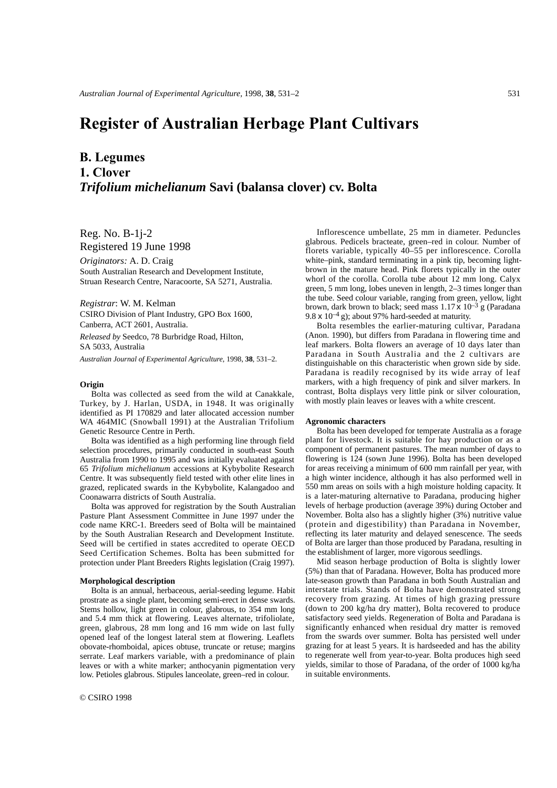# **Register of Australian Herbage Plant Cultivars**

# **B. Legumes 1. Clover** *Trifolium michelianum* **Savi (balansa clover) cv. Bolta**

Reg. No. B-1j-2 Registered 19 June 1998

*Originators:* A. D. Craig South Australian Research and Development Institute, Struan Research Centre, Naracoorte, SA 5271, Australia.

#### *Registrar*: W. M. Kelman

CSIRO Division of Plant Industry, GPO Box 1600, Canberra, ACT 2601, Australia.

*Released by* Seedco, 78 Burbridge Road, Hilton, SA 5033, Australia

*Australian Journal of Experimental Agriculture*, 1998, **38**, 531–2.

### **Origin**

Bolta was collected as seed from the wild at Canakkale, Turkey, by J. Harlan, USDA, in 1948. It was originally identified as PI 170829 and later allocated accession number WA 464MIC (Snowball 1991) at the Australian Trifolium Genetic Resource Centre in Perth.

Bolta was identified as a high performing line through field selection procedures, primarily conducted in south-east South Australia from 1990 to 1995 and was initially evaluated against 65 *Trifolium michelianum* accessions at Kybybolite Research Centre. It was subsequently field tested with other elite lines in grazed, replicated swards in the Kybybolite, Kalangadoo and Coonawarra districts of South Australia.

Bolta was approved for registration by the South Australian Pasture Plant Assessment Committee in June 1997 under the code name KRC-1. Breeders seed of Bolta will be maintained by the South Australian Research and Development Institute. Seed will be certified in states accredited to operate OECD Seed Certification Schemes. Bolta has been submitted for protection under Plant Breeders Rights legislation (Craig 1997).

## **Morphological description**

Bolta is an annual, herbaceous, aerial-seeding legume. Habit prostrate as a single plant, becoming semi-erect in dense swards. Stems hollow, light green in colour, glabrous, to 354 mm long and 5.4 mm thick at flowering. Leaves alternate, trifoliolate, green, glabrous, 28 mm long and 16 mm wide on last fully opened leaf of the longest lateral stem at flowering. Leaflets obovate-rhomboidal, apices obtuse, truncate or retuse; margins serrate. Leaf markers variable, with a predominance of plain leaves or with a white marker; anthocyanin pigmentation very low. Petioles glabrous. Stipules lanceolate, green–red in colour.

Inflorescence umbellate, 25 mm in diameter. Peduncles glabrous. Pedicels bracteate, green–red in colour. Number of florets variable, typically 40–55 per inflorescence. Corolla white–pink, standard terminating in a pink tip, becoming lightbrown in the mature head. Pink florets typically in the outer whorl of the corolla. Corolla tube about 12 mm long. Calyx green, 5 mm long, lobes uneven in length, 2–3 times longer than the tube. Seed colour variable, ranging from green, yellow, light brown, dark brown to black; seed mass  $1.17 \times 10^{-3}$  g (Paradana 9.8 x  $10^{-4}$  g); about 97% hard-seeded at maturity.

Bolta resembles the earlier-maturing cultivar, Paradana (Anon. 1990), but differs from Paradana in flowering time and leaf markers. Bolta flowers an average of 10 days later than Paradana in South Australia and the 2 cultivars are distinguishable on this characteristic when grown side by side. Paradana is readily recognised by its wide array of leaf markers, with a high frequency of pink and silver markers. In contrast, Bolta displays very little pink or silver colouration, with mostly plain leaves or leaves with a white crescent.

#### **Agronomic characters**

Bolta has been developed for temperate Australia as a forage plant for livestock. It is suitable for hay production or as a component of permanent pastures. The mean number of days to flowering is 124 (sown June 1996). Bolta has been developed for areas receiving a minimum of 600 mm rainfall per year, with a high winter incidence, although it has also performed well in 550 mm areas on soils with a high moisture holding capacity. It is a later-maturing alternative to Paradana, producing higher levels of herbage production (average 39%) during October and November. Bolta also has a slightly higher (3%) nutritive value (protein and digestibility) than Paradana in November, reflecting its later maturity and delayed senescence. The seeds of Bolta are larger than those produced by Paradana, resulting in the establishment of larger, more vigorous seedlings.

Mid season herbage production of Bolta is slightly lower (5%) than that of Paradana. However, Bolta has produced more late-season growth than Paradana in both South Australian and interstate trials. Stands of Bolta have demonstrated strong recovery from grazing. At times of high grazing pressure (down to 200 kg/ha dry matter), Bolta recovered to produce satisfactory seed yields. Regeneration of Bolta and Paradana is significantly enhanced when residual dry matter is removed from the swards over summer. Bolta has persisted well under grazing for at least 5 years. It is hardseeded and has the ability to regenerate well from year-to-year. Bolta produces high seed yields, similar to those of Paradana, of the order of 1000 kg/ha in suitable environments.